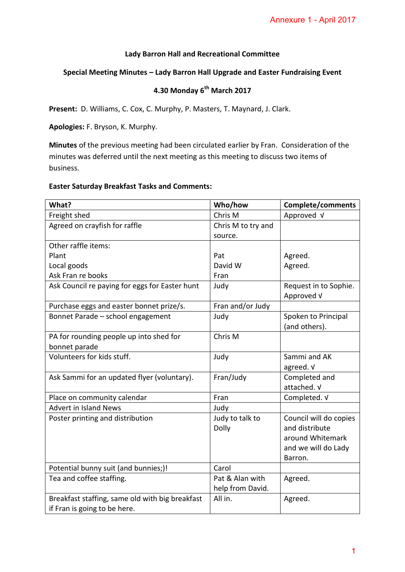### **Lady Barron Hall and Recreational Committee**

## **Special Meeting Minutes – Lady Barron Hall Upgrade and Easter Fundraising Event**

# **4.30 Monday 6th March 2017**

### **Easter Saturday Breakfast Tasks and Comments:**

|                                                                                                                                                                                                                                                              |                                     | Annexure 1 - April 2017                                                                        |  |
|--------------------------------------------------------------------------------------------------------------------------------------------------------------------------------------------------------------------------------------------------------------|-------------------------------------|------------------------------------------------------------------------------------------------|--|
| <b>Lady Barron Hall and Recreational Committee</b>                                                                                                                                                                                                           |                                     |                                                                                                |  |
| Special Meeting Minutes - Lady Barron Hall Upgrade and Easter Fundraising Event                                                                                                                                                                              |                                     |                                                                                                |  |
| 4.30 Monday 6 <sup>th</sup> March 2017                                                                                                                                                                                                                       |                                     |                                                                                                |  |
| Present: D. Williams, C. Cox, C. Murphy, P. Masters, T. Maynard, J. Clark.                                                                                                                                                                                   |                                     |                                                                                                |  |
| Apologies: F. Bryson, K. Murphy.                                                                                                                                                                                                                             |                                     |                                                                                                |  |
| <b>Minutes</b> of the previous meeting had been circulated earlier by Fran. Consideration of the<br>minutes was deferred until the next meeting as this meeting to discuss two items of<br>business.<br><b>Easter Saturday Breakfast Tasks and Comments:</b> |                                     |                                                                                                |  |
| What?                                                                                                                                                                                                                                                        | Who/how                             | <b>Complete/comments</b>                                                                       |  |
| Freight shed                                                                                                                                                                                                                                                 | Chris M                             | Approved V                                                                                     |  |
| Agreed on crayfish for raffle                                                                                                                                                                                                                                | Chris M to try and<br>source.       |                                                                                                |  |
| Other raffle items:                                                                                                                                                                                                                                          |                                     |                                                                                                |  |
| Plant                                                                                                                                                                                                                                                        | Pat                                 | Agreed.                                                                                        |  |
| Local goods                                                                                                                                                                                                                                                  | David W                             | Agreed.                                                                                        |  |
| Ask Fran re books                                                                                                                                                                                                                                            | Fran                                |                                                                                                |  |
| Ask Council re paying for eggs for Easter hunt                                                                                                                                                                                                               | Judy                                | Request in to Sophie.<br>Approved V                                                            |  |
| Purchase eggs and easter bonnet prize/s.                                                                                                                                                                                                                     | Fran and/or Judy                    |                                                                                                |  |
| Bonnet Parade - school engagement                                                                                                                                                                                                                            | Judy                                | Spoken to Principal<br>(and others).                                                           |  |
| PA for rounding people up into shed for<br>bonnet parade                                                                                                                                                                                                     | Chris M                             |                                                                                                |  |
| Volunteers for kids stuff.                                                                                                                                                                                                                                   | Judy                                | Sammi and AK<br>agreed. V                                                                      |  |
| Ask Sammi for an updated flyer (voluntary).                                                                                                                                                                                                                  | Fran/Judy                           | Completed and<br>attached. V                                                                   |  |
| Place on community calendar                                                                                                                                                                                                                                  | Fran                                | Completed. V                                                                                   |  |
| <b>Advert in Island News</b>                                                                                                                                                                                                                                 | Judy                                |                                                                                                |  |
| Poster printing and distribution                                                                                                                                                                                                                             | Judy to talk to<br>Dolly            | Council will do copies<br>and distribute<br>around Whitemark<br>and we will do Lady<br>Barron. |  |
| Potential bunny suit (and bunnies;)!                                                                                                                                                                                                                         | Carol                               |                                                                                                |  |
| Tea and coffee staffing.                                                                                                                                                                                                                                     | Pat & Alan with<br>help from David. | Agreed.                                                                                        |  |
| Breakfast staffing, same old with big breakfast<br>if Fran is going to be here.                                                                                                                                                                              | All in.                             | Agreed.                                                                                        |  |
|                                                                                                                                                                                                                                                              |                                     |                                                                                                |  |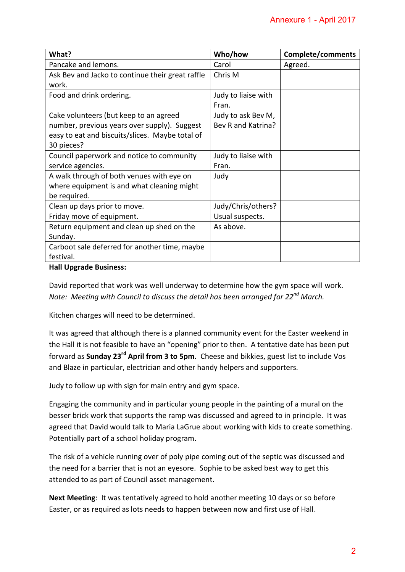| Annexure 1 - April 2017                                                                                                                                                                                                                                                                                                                                                                                                            |                                          |                          |  |
|------------------------------------------------------------------------------------------------------------------------------------------------------------------------------------------------------------------------------------------------------------------------------------------------------------------------------------------------------------------------------------------------------------------------------------|------------------------------------------|--------------------------|--|
|                                                                                                                                                                                                                                                                                                                                                                                                                                    |                                          |                          |  |
| What?                                                                                                                                                                                                                                                                                                                                                                                                                              | Who/how                                  | <b>Complete/comments</b> |  |
| Pancake and lemons.                                                                                                                                                                                                                                                                                                                                                                                                                | Carol                                    | Agreed.                  |  |
| Ask Bev and Jacko to continue their great raffle<br>work.                                                                                                                                                                                                                                                                                                                                                                          | Chris M                                  |                          |  |
| Food and drink ordering.                                                                                                                                                                                                                                                                                                                                                                                                           | Judy to liaise with<br>Fran.             |                          |  |
| Cake volunteers (but keep to an agreed<br>number, previous years over supply). Suggest<br>easy to eat and biscuits/slices. Maybe total of<br>30 pieces?                                                                                                                                                                                                                                                                            | Judy to ask Bev M,<br>Bev R and Katrina? |                          |  |
| Council paperwork and notice to community<br>service agencies.                                                                                                                                                                                                                                                                                                                                                                     | Judy to liaise with<br>Fran.             |                          |  |
| A walk through of both venues with eye on<br>where equipment is and what cleaning might<br>be required.                                                                                                                                                                                                                                                                                                                            | Judy                                     |                          |  |
| Clean up days prior to move.                                                                                                                                                                                                                                                                                                                                                                                                       | Judy/Chris/others?                       |                          |  |
| Friday move of equipment.                                                                                                                                                                                                                                                                                                                                                                                                          | Usual suspects.                          |                          |  |
| Return equipment and clean up shed on the<br>Sunday.                                                                                                                                                                                                                                                                                                                                                                               | As above.                                |                          |  |
| Carboot sale deferred for another time, maybe<br>festival.                                                                                                                                                                                                                                                                                                                                                                         |                                          |                          |  |
| <b>Hall Upgrade Business:</b>                                                                                                                                                                                                                                                                                                                                                                                                      |                                          |                          |  |
| David reported that work was well underway to determine how the gym space will work.<br>Note: Meeting with Council to discuss the detail has been arranged for 22 <sup>nd</sup> March.<br>Kitchen charges will need to be determined.<br>It was agreed that although there is a planned community event for the Easter weekend in<br>the Hall it is not feasible to have an "opening" prior to then. A tentative date has been put |                                          |                          |  |
| forward as Sunday 23 <sup>rd</sup> April from 3 to 5pm. Cheese and bikkies, guest list to include Vos<br>and Blaze in particular, electrician and other handy helpers and supporters.                                                                                                                                                                                                                                              |                                          |                          |  |
| Judy to follow up with sign for main entry and gym space.                                                                                                                                                                                                                                                                                                                                                                          |                                          |                          |  |
| Engaging the community and in particular young people in the painting of a mural on the<br>besser brick work that supports the ramp was discussed and agreed to in principle. It was<br>agreed that David would talk to Maria LaGrue about working with kids to create something.<br>Potentially part of a school holiday program.                                                                                                 |                                          |                          |  |
| The risk of a vehicle running over of poly pipe coming out of the septic was discussed and<br>the need for a barrier that is not an eyesore. Sophie to be asked best way to get this<br>attended to as part of Council asset management.                                                                                                                                                                                           |                                          |                          |  |
| Next Meeting: It was tentatively agreed to hold another meeting 10 days or so before<br>Easter, or as required as lots needs to happen between now and first use of Hall.                                                                                                                                                                                                                                                          |                                          |                          |  |
|                                                                                                                                                                                                                                                                                                                                                                                                                                    |                                          | $\overline{2}$           |  |
|                                                                                                                                                                                                                                                                                                                                                                                                                                    |                                          |                          |  |

### **Hall Upgrade Business:**